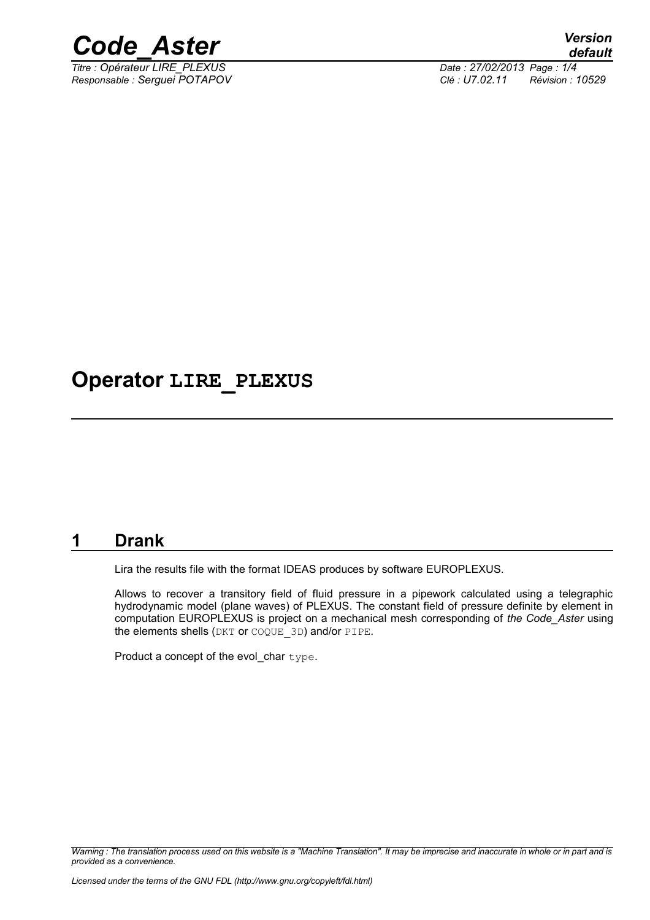

*Titre : Opérateur LIRE\_PLEXUS Date : 27/02/2013 Page : 1/4*

*Responsable : Serguei POTAPOV Clé : U7.02.11 Révision : 10529*

## **Operator LIRE\_PLEXUS**

#### **1 Drank**

Lira the results file with the format IDEAS produces by software EUROPLEXUS.

Allows to recover a transitory field of fluid pressure in a pipework calculated using a telegraphic hydrodynamic model (plane waves) of PLEXUS. The constant field of pressure definite by element in computation EUROPLEXUS is project on a mechanical mesh corresponding of *the Code\_Aster* using the elements shells (DKT or COQUE 3D) and/or PIPE.

Product a concept of the evol char type.

*Warning : The translation process used on this website is a "Machine Translation". It may be imprecise and inaccurate in whole or in part and is provided as a convenience.*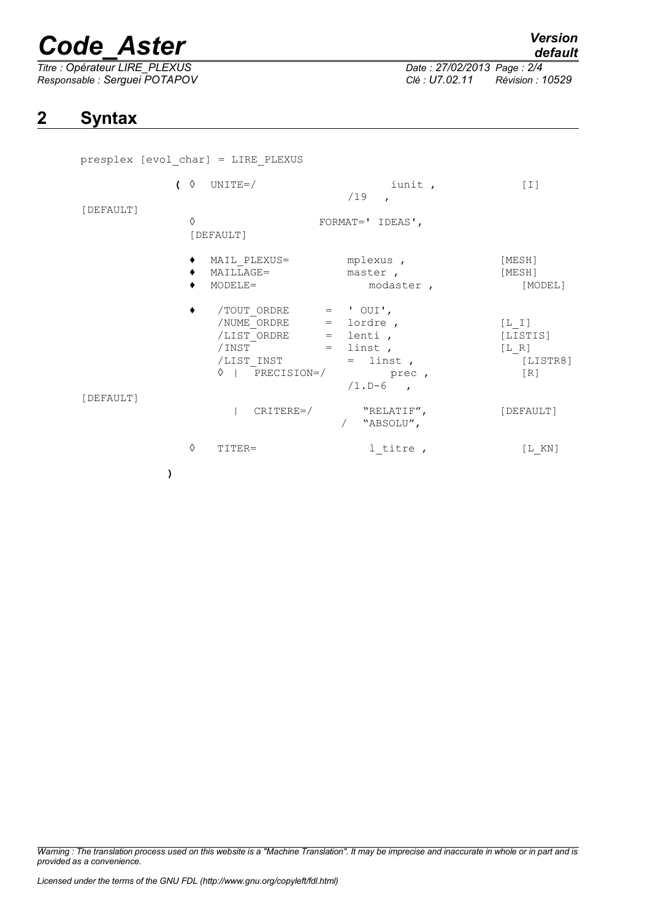# *Code\_Aster Version*

*Titre : Opérateur LIRE\_PLEXUS Date : 27/02/2013 Page : 2/4 Responsable : Serguei POTAPOV* 

*default*

### **2 Syntax**

presplex [evol\_char] = LIRE\_PLEXUS

**)**

|           |   | $\left(\begin{array}{cc} \Diamond & \text{UNITE=}\ \end{array}\right)$                                                                                                                                                               | iunit,<br>/19<br>$\mathbf{r}$    | $[1]$                                                         |
|-----------|---|--------------------------------------------------------------------------------------------------------------------------------------------------------------------------------------------------------------------------------------|----------------------------------|---------------------------------------------------------------|
| [DEFAULT] | ♦ | [DEFAULT]                                                                                                                                                                                                                            | FORMAT=' IDEAS',                 |                                                               |
|           |   | MAIL PLEXUS=<br>MAILLAGE=<br>MODELE=                                                                                                                                                                                                 | mplexus,<br>master,<br>modaster, | [MESH]<br>[MESH]<br>[MODEL]                                   |
| [DEFAULT] |   | $/TOUT ORDER = 'OUT',$<br>$\begin{array}{rclclclcl} \text{\texttt{/NUME_ORDRE}} & = & \text{lordre} \end{array} \text{\texttt{,}}$<br>/LIST ORDRE = lenti,<br>$/$ INST = linst,<br>$/LIST$ INST = linst,<br>$\Diamond$   PRECISION=/ | prec,<br>$/1. D-6$ ,             | $[L I]$<br>[LISTIS]<br>[L R]<br>[LISTR8]<br>$\lceil R \rceil$ |
|           |   | $CRITERE=$                                                                                                                                                                                                                           | "RELATIF",<br>"ABSOLU",          | [DEFAULT]                                                     |
|           | ♦ | TITER=                                                                                                                                                                                                                               | 1 titre,                         | $[L$ KN]                                                      |

*Warning : The translation process used on this website is a "Machine Translation". It may be imprecise and inaccurate in whole or in part and is provided as a convenience.*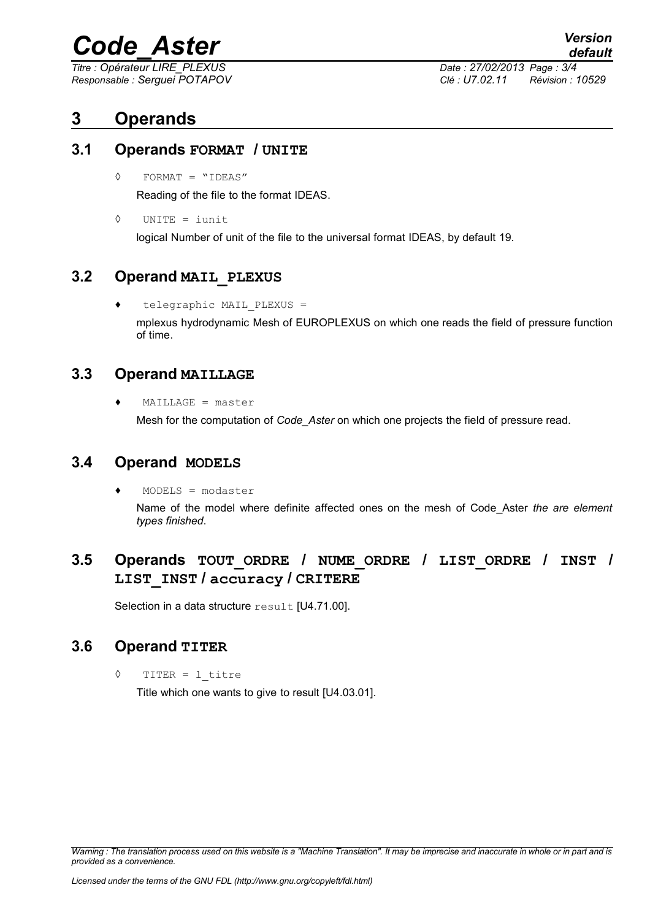# *Code\_Aster Version*

*Titre : Opérateur LIRE\_PLEXUS Date : 27/02/2013 Page : 3/4 Responsable : Serguei POTAPOV Clé : U7.02.11 Révision : 10529*

*default*

### **3 Operands**

#### **3.1 Operands FORMAT / UNITE**

◊ FORMAT = "IDEAS"

Reading of the file to the format IDEAS.

◊ UNITE = iunit

logical Number of unit of the file to the universal format IDEAS, by default 19.

#### **3.2 Operand MAIL\_PLEXUS**

♦ telegraphic MAIL\_PLEXUS = mplexus hydrodynamic Mesh of EUROPLEXUS on which one reads the field of pressure function of time.

#### **3.3 Operand MAILLAGE**

 $MAILLAGE = master$ 

Mesh for the computation of *Code\_Aster* on which one projects the field of pressure read.

#### **3.4 Operand MODELS**

 $MODELS = modaster$ 

Name of the model where definite affected ones on the mesh of Code\_Aster *the are element types finished*.

#### **3.5 Operands TOUT\_ORDRE / NUME\_ORDRE / LIST\_ORDRE / INST / LIST\_INST / accuracy / CRITERE**

Selection in a data structure result [U4.71.00].

#### **3.6 Operand TITER**

◊ TITER = l\_titre

Title which one wants to give to result [U4.03.01].

*Warning : The translation process used on this website is a "Machine Translation". It may be imprecise and inaccurate in whole or in part and is provided as a convenience.*